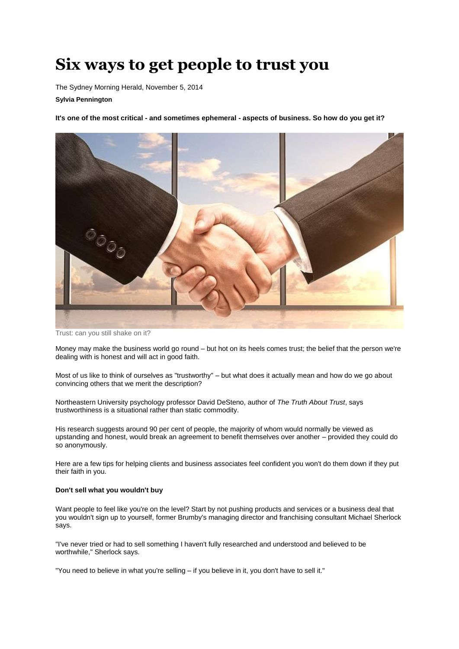# **Six ways to get people to trust you**

The Sydney Morning Herald, November 5, 2014

**Sylvia Pennington**

**It's one of the most critical - and sometimes ephemeral - aspects of business. So how do you get it?**



Trust: can you still shake on it?

Money may make the business world go round – but hot on its heels comes trust; the belief that the person we're dealing with is honest and will act in good faith.

Most of us like to think of ourselves as "trustworthy" – but what does it actually mean and how do we go about convincing others that we merit the description?

Northeastern University psychology professor David DeSteno, author of *The Truth About Trust*, says trustworthiness is a situational rather than static commodity.

His research suggests around 90 per cent of people, the majority of whom would normally be viewed as upstanding and honest, would break an agreement to benefit themselves over another – provided they could do so anonymously.

Here are a few tips for helping clients and business associates feel confident you won't do them down if they put their faith in you.

## **Don't sell what you wouldn't buy**

Want people to feel like you're on the level? Start by not pushing products and services or a business deal that you wouldn't sign up to yourself, former Brumby's managing director and franchising consultant Michael Sherlock says.

"I've never tried or had to sell something I haven't fully researched and understood and believed to be worthwhile," Sherlock says.

"You need to believe in what you're selling – if you believe in it, you don't have to sell it."